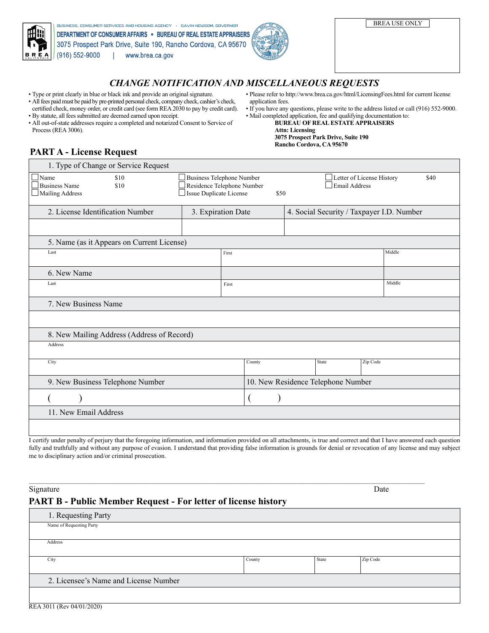| 曲啦<br>IN<br>$B$ <sub>CALIFORNIA</sub>                 | BUSINESS, CONSUMER SERVICES AND HOUSING AGENCY · GAVIN NEWSOM, GOVERNOR<br>DEPARTMENT OF CONSUMER AFFAIRS . BUREAU OF REAL ESTATE APPRAISERS<br>3075 Prospect Park Drive, Suite 190, Rancho Cordova, CA 95670<br>$(916) 552-9000$<br>www.brea.ca.gov | <b>BREA USE ONLY</b> |  |  |  |  |  |  |
|-------------------------------------------------------|------------------------------------------------------------------------------------------------------------------------------------------------------------------------------------------------------------------------------------------------------|----------------------|--|--|--|--|--|--|
| <b>CHANGE NOTIFICATION AND MISCELLANEOUS REQUESTS</b> |                                                                                                                                                                                                                                                      |                      |  |  |  |  |  |  |

## *CHANGE NOTIFICATION AND MISCELLANEOUS REQUESTS*

- Type or print clearly in blue or black ink and provide an original signature.
- All fees paid must be paid by pre-printed personal check, company check, cashier's check, certified check, money order, or credit card (see form REA 2030 to pay by credit card). • By statute, all fees submitted are deemed earned upon receipt.
- All out-of-state addresses require a completed and notarized Consent to Service of Process (REA 3006).
- Please refer to http://www.brea.ca.gov/html/LicensingFees.html for current license application fees.
- If you have any questions, please write to the address listed or call (916) 552-9000. • Mail completed application, fee and qualifying documentation to:
	- **BUREAU OF REAL ESTATE APPRAISERS Attn: Licensing 3075 Prospect Park Drive, Suite 190**

**Rancho Cordova, CA 95670**

# **PART A - License Request**

| 1. Type of Change or Service Request                            |                                                                                                                                                                |                                           |  |       |          |        |  |  |  |
|-----------------------------------------------------------------|----------------------------------------------------------------------------------------------------------------------------------------------------------------|-------------------------------------------|--|-------|----------|--------|--|--|--|
| Name<br>\$10<br><b>Business Name</b><br>\$10<br>Mailing Address | <b>Business Telephone Number</b><br>Letter of License History<br>\$40<br>Residence Telephone Number<br><b>Email Address</b><br>Issue Duplicate License<br>\$50 |                                           |  |       |          |        |  |  |  |
| 2. License Identification Number                                | 3. Expiration Date                                                                                                                                             | 4. Social Security / Taxpayer I.D. Number |  |       |          |        |  |  |  |
|                                                                 |                                                                                                                                                                |                                           |  |       |          |        |  |  |  |
| 5. Name (as it Appears on Current License)                      |                                                                                                                                                                |                                           |  |       |          |        |  |  |  |
| Last                                                            |                                                                                                                                                                | First                                     |  |       | Middle   |        |  |  |  |
| 6. New Name                                                     |                                                                                                                                                                |                                           |  |       |          |        |  |  |  |
| Last                                                            |                                                                                                                                                                |                                           |  |       |          | Middle |  |  |  |
|                                                                 |                                                                                                                                                                | First                                     |  |       |          |        |  |  |  |
| 7. New Business Name                                            |                                                                                                                                                                |                                           |  |       |          |        |  |  |  |
|                                                                 |                                                                                                                                                                |                                           |  |       |          |        |  |  |  |
| 8. New Mailing Address (Address of Record)                      |                                                                                                                                                                |                                           |  |       |          |        |  |  |  |
| Address                                                         |                                                                                                                                                                |                                           |  |       |          |        |  |  |  |
| City                                                            |                                                                                                                                                                | County                                    |  | State | Zip Code |        |  |  |  |
|                                                                 |                                                                                                                                                                |                                           |  |       |          |        |  |  |  |
| 9. New Business Telephone Number                                |                                                                                                                                                                | 10. New Residence Telephone Number        |  |       |          |        |  |  |  |
|                                                                 |                                                                                                                                                                |                                           |  |       |          |        |  |  |  |
| 11. New Email Address                                           |                                                                                                                                                                |                                           |  |       |          |        |  |  |  |
|                                                                 |                                                                                                                                                                |                                           |  |       |          |        |  |  |  |

I certify under penalty of perjury that the foregoing information, and information provided on all attachments, is true and correct and that I have answered each question fully and truthfully and without any purpose of evasion. I understand that providing false information is grounds for denial or revocation of any license and may subject me to disciplinary action and/or criminal prosecution.

Signature Date **Date** Development of the *Signature* Date of *Date* Date of *Date* Date of *Date* Date of *Date* Date of *Date* of *Date* of *Date* of *Date* of *Date* of *Date* of *Date* of *Date* of *Date* of *Date* of

## **PART B - Public Member Request - For letter of license history**

1. Requesting Party Name of Requesting Party City State Zip County State Zip Code Address 2. Licensee's Name and License Number